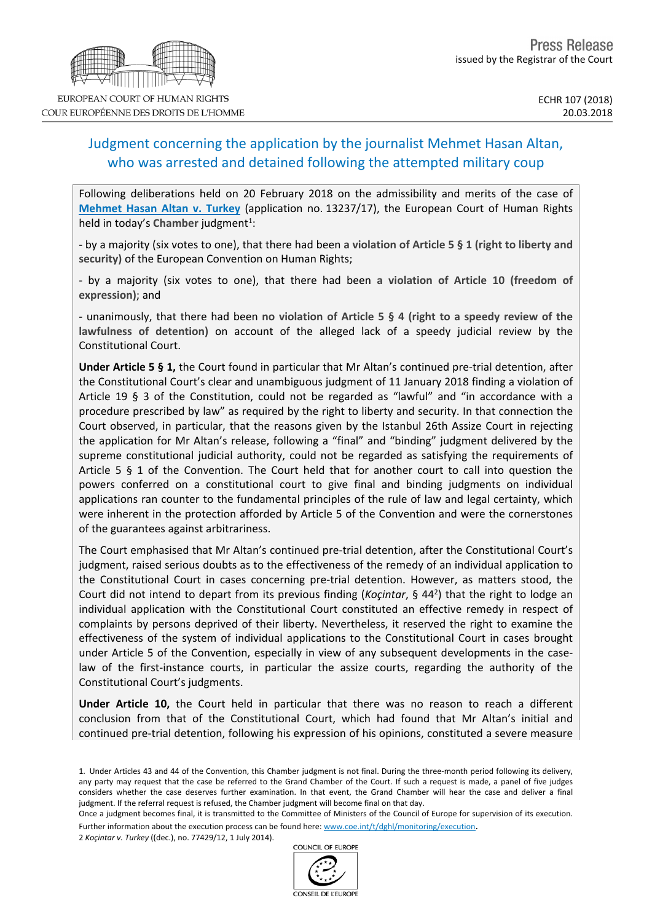# Judgment concerning the application by the journalist Mehmet Hasan Altan, who was arrested and detained following the attempted military coup

Following deliberations held on 20 February 2018 on the admissibility and merits of the case of **[Mehmet](http://hudoc.echr.coe.int/eng?i=001-181862) Hasan Altan v. Turkey** (application no. 13237/17), the European Court of Human Rights held in today's Chamber judgment<sup>1</sup>:

- by a majority (six votes to one), that there had been **a violation of Article 5 § 1 (right to liberty and security)** of the European Convention on Human Rights;

- by a majority (six votes to one), that there had been **a violation of Article 10 (freedom of expression)**; and

- unanimously, that there had been **no violation of Article 5 § 4 (right to a speedy review of the lawfulness of detention)** on account of the alleged lack of a speedy judicial review by the Constitutional Court.

**Under Article 5 § 1,** the Court found in particular that Mr Altan's continued pre-trial detention, after the Constitutional Court's clear and unambiguous judgment of 11 January 2018 finding a violation of Article 19 § 3 of the Constitution, could not be regarded as "lawful" and "in accordance with a procedure prescribed by law" as required by the right to liberty and security. In that connection the Court observed, in particular, that the reasons given by the Istanbul 26th Assize Court in rejecting the application for Mr Altan's release, following a "final" and "binding" judgment delivered by the supreme constitutional judicial authority, could not be regarded as satisfying the requirements of Article 5 § 1 of the Convention. The Court held that for another court to call into question the powers conferred on a constitutional court to give final and binding judgments on individual applications ran counter to the fundamental principles of the rule of law and legal certainty, which were inherent in the protection afforded by Article 5 of the Convention and were the cornerstones of the guarantees against arbitrariness.

The Court emphasised that Mr Altan's continued pre-trial detention, after the Constitutional Court's judgment, raised serious doubts as to the effectiveness of the remedy of an individual application to the Constitutional Court in cases concerning pre-trial detention. However, as matters stood, the Court did not intend to depart from its previous finding (*Koçintar*, § 44<sup>2</sup> ) that the right to lodge an individual application with the Constitutional Court constituted an effective remedy in respect of complaints by persons deprived of their liberty. Nevertheless, it reserved the right to examine the effectiveness of the system of individual applications to the Constitutional Court in cases brought under Article 5 of the Convention, especially in view of any subsequent developments in the caselaw of the first-instance courts, in particular the assize courts, regarding the authority of the Constitutional Court's judgments.

**Under Article 10,** the Court held in particular that there was no reason to reach a different conclusion from that of the Constitutional Court, which had found that Mr Altan's initial and continued pre-trial detention, following his expression of his opinions, constituted a severe measure

Once a judgment becomes final, it is transmitted to the Committee of Ministers of the Council of Europe for supervision of its execution. Further information about the execution process can be found here: [www.coe.int/t/dghl/monitoring/execution](http://www.coe.int/t/dghl/monitoring/execution).

2 *Koçintar v. Turkey* ((dec.), no. 77429/12, 1 July 2014).







COUR EUROPÉENNE DES DROITS DE L'HOMME

<sup>1.</sup> Under Articles 43 and 44 of the Convention, this Chamber judgment is not final. During the three-month period following its delivery, any party may request that the case be referred to the Grand Chamber of the Court. If such a request is made, a panel of five judges considers whether the case deserves further examination. In that event, the Grand Chamber will hear the case and deliver a final judgment. If the referral request is refused, the Chamber judgment will become final on that day.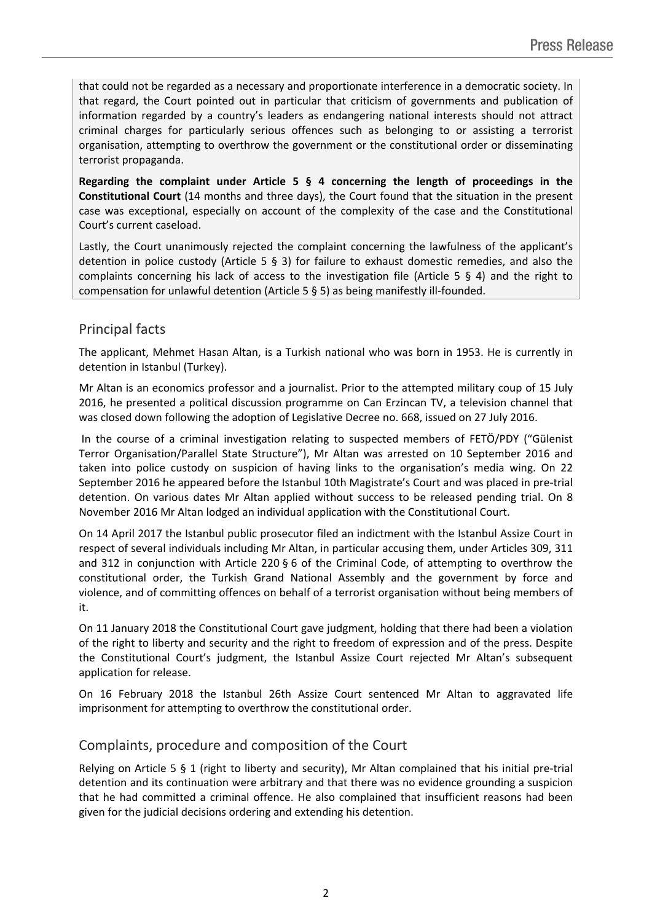that could not be regarded as a necessary and proportionate interference in a democratic society. In that regard, the Court pointed out in particular that criticism of governments and publication of information regarded by a country's leaders as endangering national interests should not attract criminal charges for particularly serious offences such as belonging to or assisting a terrorist organisation, attempting to overthrow the government or the constitutional order or disseminating terrorist propaganda.

**Regarding the complaint under Article 5 § 4 concerning the length of proceedings in the Constitutional Court** (14 months and three days), the Court found that the situation in the present case was exceptional, especially on account of the complexity of the case and the Constitutional Court's current caseload.

Lastly, the Court unanimously rejected the complaint concerning the lawfulness of the applicant's detention in police custody (Article 5 § 3) for failure to exhaust domestic remedies, and also the complaints concerning his lack of access to the investigation file (Article 5 § 4) and the right to compensation for unlawful detention (Article 5 § 5) as being manifestly ill-founded.

# Principal facts

The applicant, Mehmet Hasan Altan, is a Turkish national who was born in 1953. He is currently in detention in Istanbul (Turkey).

Mr Altan is an economics professor and a journalist. Prior to the attempted military coup of 15 July 2016, he presented a political discussion programme on Can Erzincan TV, a television channel that was closed down following the adoption of Legislative Decree no. 668, issued on 27 July 2016.

In the course of a criminal investigation relating to suspected members of FETÖ/PDY ("Gülenist Terror Organisation/Parallel State Structure"), Mr Altan was arrested on 10 September 2016 and taken into police custody on suspicion of having links to the organisation's media wing. On 22 September 2016 he appeared before the Istanbul 10th Magistrate's Court and was placed in pre-trial detention. On various dates Mr Altan applied without success to be released pending trial. On 8 November 2016 Mr Altan lodged an individual application with the Constitutional Court.

On 14 April 2017 the Istanbul public prosecutor filed an indictment with the Istanbul Assize Court in respect of several individuals including Mr Altan, in particular accusing them, under Articles 309, 311 and 312 in conjunction with Article 220 § 6 of the Criminal Code, of attempting to overthrow the constitutional order, the Turkish Grand National Assembly and the government by force and violence, and of committing offences on behalf of a terrorist organisation without being members of it.

On 11 January 2018 the Constitutional Court gave judgment, holding that there had been a violation of the right to liberty and security and the right to freedom of expression and of the press. Despite the Constitutional Court's judgment, the Istanbul Assize Court rejected Mr Altan's subsequent application for release.

On 16 February 2018 the Istanbul 26th Assize Court sentenced Mr Altan to aggravated life imprisonment for attempting to overthrow the constitutional order.

# Complaints, procedure and composition of the Court

Relying on Article 5 § 1 (right to liberty and security), Mr Altan complained that his initial pre-trial detention and its continuation were arbitrary and that there was no evidence grounding a suspicion that he had committed a criminal offence. He also complained that insufficient reasons had been given for the judicial decisions ordering and extending his detention.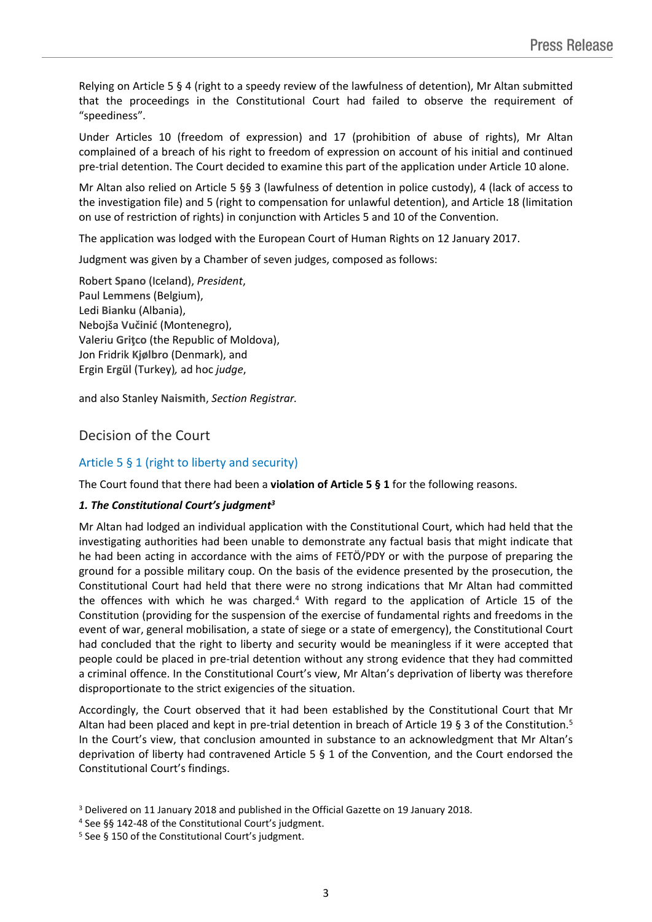Relying on Article 5 § 4 (right to a speedy review of the lawfulness of detention), Mr Altan submitted that the proceedings in the Constitutional Court had failed to observe the requirement of "speediness".

Under Articles 10 (freedom of expression) and 17 (prohibition of abuse of rights), Mr Altan complained of a breach of his right to freedom of expression on account of his initial and continued pre-trial detention. The Court decided to examine this part of the application under Article 10 alone.

Mr Altan also relied on Article 5 §§ 3 (lawfulness of detention in police custody), 4 (lack of access to the investigation file) and 5 (right to compensation for unlawful detention), and Article 18 (limitation on use of restriction of rights) in conjunction with Articles 5 and 10 of the Convention.

The application was lodged with the European Court of Human Rights on 12 January 2017.

Judgment was given by a Chamber of seven judges, composed as follows:

Robert **Spano** (Iceland), *President*, Paul **Lemmens** (Belgium), Ledi **Bianku** (Albania), Nebojša **Vučinić** (Montenegro), Valeriu **Griţco** (the Republic of Moldova), Jon Fridrik **Kjølbro** (Denmark), and Ergin **Ergül** (Turkey)*,* ad hoc *judge*,

and also Stanley **Naismith**, *Section Registrar.*

## Decision of the Court

## Article 5 § 1 (right to liberty and security)

The Court found that there had been a **violation of Article 5 § 1** for the following reasons.

### *1. The Constitutional Court's judgment<sup>3</sup>*

Mr Altan had lodged an individual application with the Constitutional Court, which had held that the investigating authorities had been unable to demonstrate any factual basis that might indicate that he had been acting in accordance with the aims of FETÖ/PDY or with the purpose of preparing the ground for a possible military coup. On the basis of the evidence presented by the prosecution, the Constitutional Court had held that there were no strong indications that Mr Altan had committed the offences with which he was charged.<sup>4</sup> With regard to the application of Article 15 of the Constitution (providing for the suspension of the exercise of fundamental rights and freedoms in the event of war, general mobilisation, a state of siege or a state of emergency), the Constitutional Court had concluded that the right to liberty and security would be meaningless if it were accepted that people could be placed in pre-trial detention without any strong evidence that they had committed a criminal offence. In the Constitutional Court's view, Mr Altan's deprivation of liberty was therefore disproportionate to the strict exigencies of the situation.

Accordingly, the Court observed that it had been established by the Constitutional Court that Mr Altan had been placed and kept in pre-trial detention in breach of Article 19 § 3 of the Constitution.<sup>5</sup> In the Court's view, that conclusion amounted in substance to an acknowledgment that Mr Altan's deprivation of liberty had contravened Article 5 § 1 of the Convention, and the Court endorsed the Constitutional Court's findings.

<sup>3</sup> Delivered on 11 January 2018 and published in the Official Gazette on 19 January 2018.

<sup>4</sup> See §§ 142-48 of the Constitutional Court's judgment.

<sup>5</sup> See § 150 of the Constitutional Court's judgment.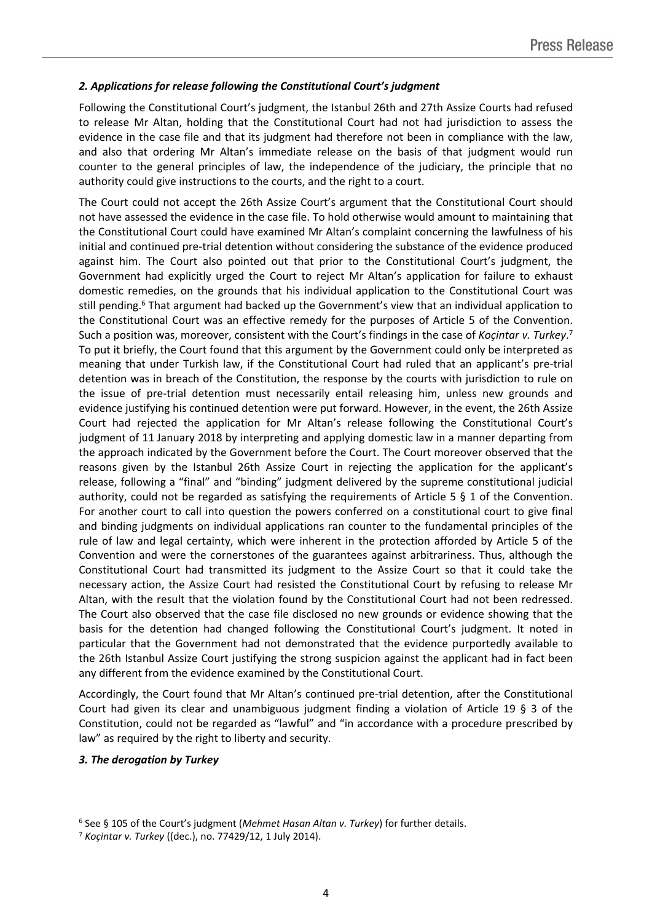### *2. Applications for release following the Constitutional Court's judgment*

Following the Constitutional Court's judgment, the Istanbul 26th and 27th Assize Courts had refused to release Mr Altan, holding that the Constitutional Court had not had jurisdiction to assess the evidence in the case file and that its judgment had therefore not been in compliance with the law, and also that ordering Mr Altan's immediate release on the basis of that judgment would run counter to the general principles of law, the independence of the judiciary, the principle that no authority could give instructions to the courts, and the right to a court.

The Court could not accept the 26th Assize Court's argument that the Constitutional Court should not have assessed the evidence in the case file. To hold otherwise would amount to maintaining that the Constitutional Court could have examined Mr Altan's complaint concerning the lawfulness of his initial and continued pre-trial detention without considering the substance of the evidence produced against him. The Court also pointed out that prior to the Constitutional Court's judgment, the Government had explicitly urged the Court to reject Mr Altan's application for failure to exhaust domestic remedies, on the grounds that his individual application to the Constitutional Court was still pending.<sup>6</sup> That argument had backed up the Government's view that an individual application to the Constitutional Court was an effective remedy for the purposes of Article 5 of the Convention. Such a position was, moreover, consistent with the Court's findings in the case of *Koçintar v. Turkey*. 7 To put it briefly, the Court found that this argument by the Government could only be interpreted as meaning that under Turkish law, if the Constitutional Court had ruled that an applicant's pre-trial detention was in breach of the Constitution, the response by the courts with jurisdiction to rule on the issue of pre-trial detention must necessarily entail releasing him, unless new grounds and evidence justifying his continued detention were put forward. However, in the event, the 26th Assize Court had rejected the application for Mr Altan's release following the Constitutional Court's judgment of 11 January 2018 by interpreting and applying domestic law in a manner departing from the approach indicated by the Government before the Court. The Court moreover observed that the reasons given by the Istanbul 26th Assize Court in rejecting the application for the applicant's release, following a "final" and "binding" judgment delivered by the supreme constitutional judicial authority, could not be regarded as satisfying the requirements of Article 5 § 1 of the Convention. For another court to call into question the powers conferred on a constitutional court to give final and binding judgments on individual applications ran counter to the fundamental principles of the rule of law and legal certainty, which were inherent in the protection afforded by Article 5 of the Convention and were the cornerstones of the guarantees against arbitrariness. Thus, although the Constitutional Court had transmitted its judgment to the Assize Court so that it could take the necessary action, the Assize Court had resisted the Constitutional Court by refusing to release Mr Altan, with the result that the violation found by the Constitutional Court had not been redressed. The Court also observed that the case file disclosed no new grounds or evidence showing that the basis for the detention had changed following the Constitutional Court's judgment. It noted in particular that the Government had not demonstrated that the evidence purportedly available to the 26th Istanbul Assize Court justifying the strong suspicion against the applicant had in fact been any different from the evidence examined by the Constitutional Court.

Accordingly, the Court found that Mr Altan's continued pre-trial detention, after the Constitutional Court had given its clear and unambiguous judgment finding a violation of Article 19 § 3 of the Constitution, could not be regarded as "lawful" and "in accordance with a procedure prescribed by law" as required by the right to liberty and security.

### *3. The derogation by Turkey*

<sup>6</sup> See § 105 of the Court's judgment (*Mehmet Hasan Altan v. Turkey*) for further details.

<sup>7</sup> *Koçintar v. Turkey* ((dec.), no. 77429/12, 1 July 2014).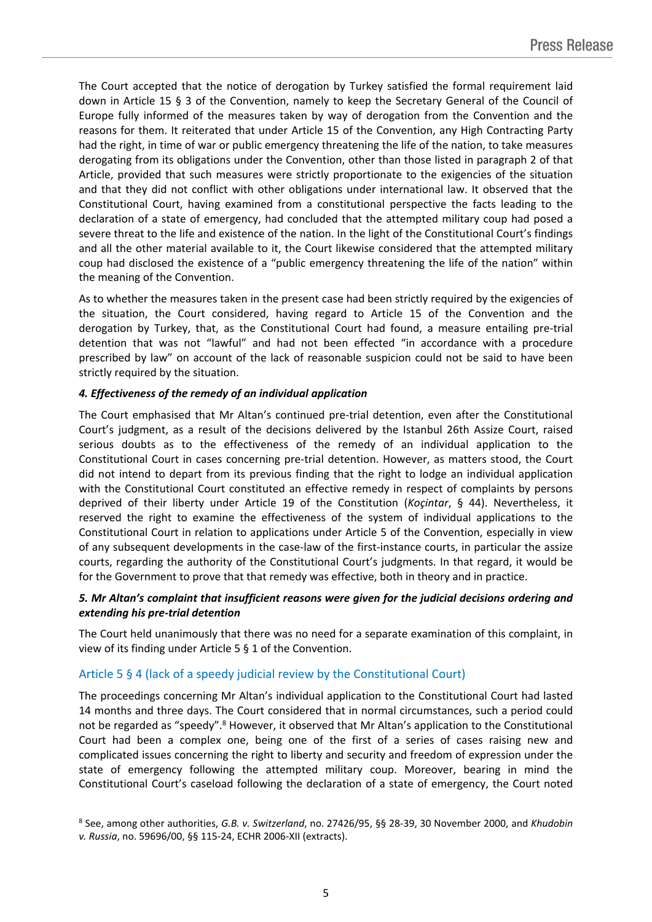The Court accepted that the notice of derogation by Turkey satisfied the formal requirement laid down in Article 15 § 3 of the Convention, namely to keep the Secretary General of the Council of Europe fully informed of the measures taken by way of derogation from the Convention and the reasons for them. It reiterated that under Article 15 of the Convention, any High Contracting Party had the right, in time of war or public emergency threatening the life of the nation, to take measures derogating from its obligations under the Convention, other than those listed in paragraph 2 of that Article, provided that such measures were strictly proportionate to the exigencies of the situation and that they did not conflict with other obligations under international law. It observed that the Constitutional Court, having examined from a constitutional perspective the facts leading to the declaration of a state of emergency, had concluded that the attempted military coup had posed a severe threat to the life and existence of the nation. In the light of the Constitutional Court's findings and all the other material available to it, the Court likewise considered that the attempted military coup had disclosed the existence of a "public emergency threatening the life of the nation" within the meaning of the Convention.

As to whether the measures taken in the present case had been strictly required by the exigencies of the situation, the Court considered, having regard to Article 15 of the Convention and the derogation by Turkey, that, as the Constitutional Court had found, a measure entailing pre-trial detention that was not "lawful" and had not been effected "in accordance with a procedure prescribed by law" on account of the lack of reasonable suspicion could not be said to have been strictly required by the situation.

## *4. Effectiveness of the remedy of an individual application*

The Court emphasised that Mr Altan's continued pre-trial detention, even after the Constitutional Court's judgment, as a result of the decisions delivered by the Istanbul 26th Assize Court, raised serious doubts as to the effectiveness of the remedy of an individual application to the Constitutional Court in cases concerning pre-trial detention. However, as matters stood, the Court did not intend to depart from its previous finding that the right to lodge an individual application with the Constitutional Court constituted an effective remedy in respect of complaints by persons deprived of their liberty under Article 19 of the Constitution (*Koçintar*, § 44). Nevertheless, it reserved the right to examine the effectiveness of the system of individual applications to the Constitutional Court in relation to applications under Article 5 of the Convention, especially in view of any subsequent developments in the case-law of the first-instance courts, in particular the assize courts, regarding the authority of the Constitutional Court's judgments. In that regard, it would be for the Government to prove that that remedy was effective, both in theory and in practice.

## *5. Mr Altan's complaint that insufficient reasons were given for the judicial decisions ordering and extending his pre-trial detention*

The Court held unanimously that there was no need for a separate examination of this complaint, in view of its finding under Article 5 § 1 of the Convention.

## Article 5 § 4 (lack of a speedy judicial review by the Constitutional Court)

The proceedings concerning Mr Altan's individual application to the Constitutional Court had lasted 14 months and three days. The Court considered that in normal circumstances, such a period could not be regarded as "speedy".<sup>8</sup> However, it observed that Mr Altan's application to the Constitutional Court had been a complex one, being one of the first of a series of cases raising new and complicated issues concerning the right to liberty and security and freedom of expression under the state of emergency following the attempted military coup. Moreover, bearing in mind the Constitutional Court's caseload following the declaration of a state of emergency, the Court noted

<sup>8</sup> See, among other authorities, *G.B. v. Switzerland*, no. 27426/95, §§ 28-39, 30 November 2000, and *Khudobin v. Russia*, no. 59696/00, §§ 115-24, ECHR 2006-XII (extracts).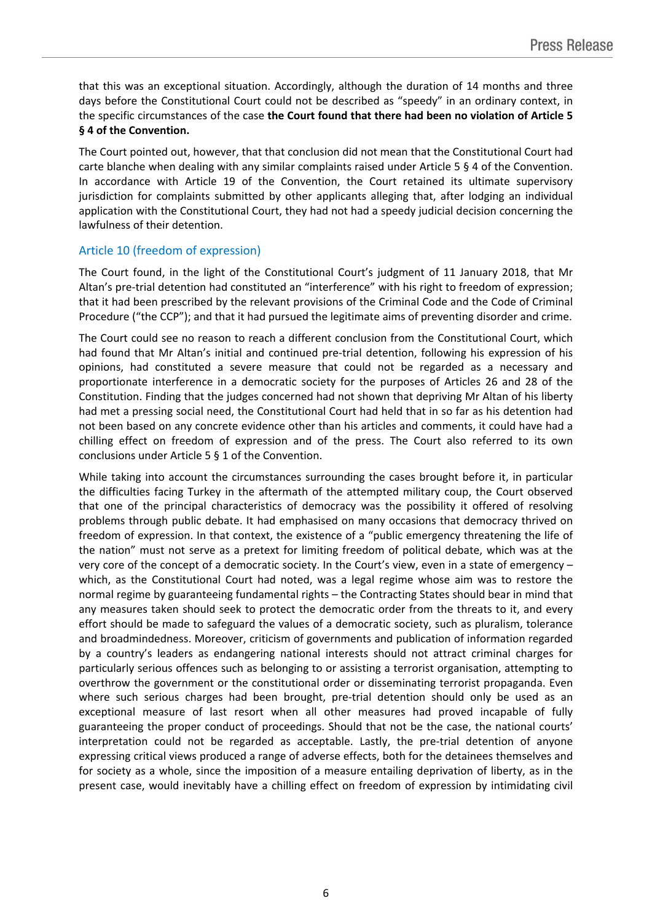that this was an exceptional situation. Accordingly, although the duration of 14 months and three days before the Constitutional Court could not be described as "speedy" in an ordinary context, in the specific circumstances of the case **the Court found that there had been no violation of Article 5 § 4 of the Convention.**

The Court pointed out, however, that that conclusion did not mean that the Constitutional Court had carte blanche when dealing with any similar complaints raised under Article 5 § 4 of the Convention. In accordance with Article 19 of the Convention, the Court retained its ultimate supervisory jurisdiction for complaints submitted by other applicants alleging that, after lodging an individual application with the Constitutional Court, they had not had a speedy judicial decision concerning the lawfulness of their detention.

## Article 10 (freedom of expression)

The Court found, in the light of the Constitutional Court's judgment of 11 January 2018, that Mr Altan's pre-trial detention had constituted an "interference" with his right to freedom of expression; that it had been prescribed by the relevant provisions of the Criminal Code and the Code of Criminal Procedure ("the CCP"); and that it had pursued the legitimate aims of preventing disorder and crime.

The Court could see no reason to reach a different conclusion from the Constitutional Court, which had found that Mr Altan's initial and continued pre-trial detention, following his expression of his opinions, had constituted a severe measure that could not be regarded as a necessary and proportionate interference in a democratic society for the purposes of Articles 26 and 28 of the Constitution. Finding that the judges concerned had not shown that depriving Mr Altan of his liberty had met a pressing social need, the Constitutional Court had held that in so far as his detention had not been based on any concrete evidence other than his articles and comments, it could have had a chilling effect on freedom of expression and of the press. The Court also referred to its own conclusions under Article 5 § 1 of the Convention.

While taking into account the circumstances surrounding the cases brought before it, in particular the difficulties facing Turkey in the aftermath of the attempted military coup, the Court observed that one of the principal characteristics of democracy was the possibility it offered of resolving problems through public debate. It had emphasised on many occasions that democracy thrived on freedom of expression. In that context, the existence of a "public emergency threatening the life of the nation" must not serve as a pretext for limiting freedom of political debate, which was at the very core of the concept of a democratic society. In the Court's view, even in a state of emergency – which, as the Constitutional Court had noted, was a legal regime whose aim was to restore the normal regime by guaranteeing fundamental rights – the Contracting States should bear in mind that any measures taken should seek to protect the democratic order from the threats to it, and every effort should be made to safeguard the values of a democratic society, such as pluralism, tolerance and broadmindedness. Moreover, criticism of governments and publication of information regarded by a country's leaders as endangering national interests should not attract criminal charges for particularly serious offences such as belonging to or assisting a terrorist organisation, attempting to overthrow the government or the constitutional order or disseminating terrorist propaganda. Even where such serious charges had been brought, pre-trial detention should only be used as an exceptional measure of last resort when all other measures had proved incapable of fully guaranteeing the proper conduct of proceedings. Should that not be the case, the national courts' interpretation could not be regarded as acceptable. Lastly, the pre-trial detention of anyone expressing critical views produced a range of adverse effects, both for the detainees themselves and for society as a whole, since the imposition of a measure entailing deprivation of liberty, as in the present case, would inevitably have a chilling effect on freedom of expression by intimidating civil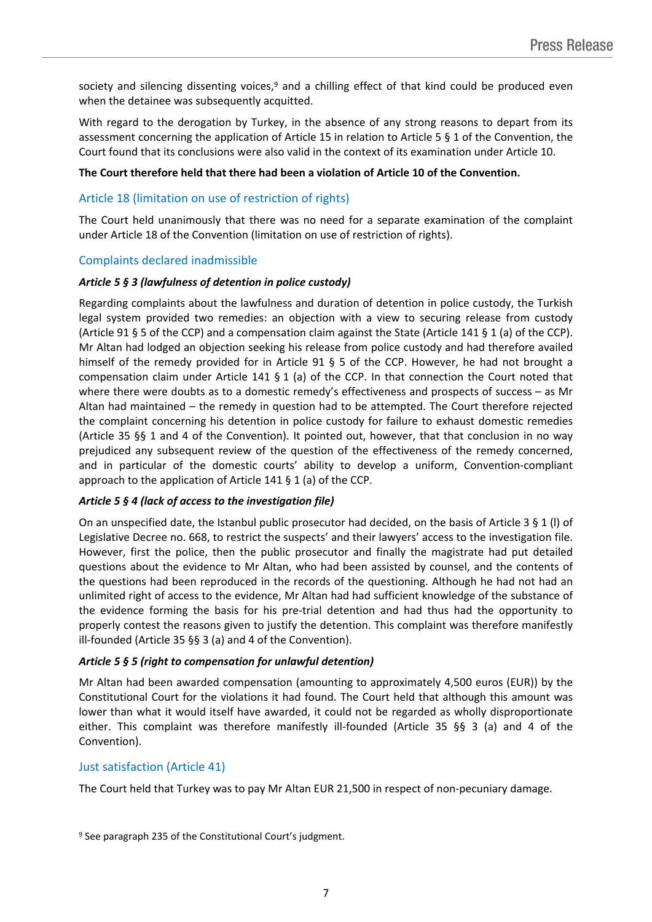society and silencing dissenting voices, $9$  and a chilling effect of that kind could be produced even when the detainee was subsequently acquitted.

With regard to the derogation by Turkey, in the absence of any strong reasons to depart from its assessment concerning the application of Article 15 in relation to Article 5 § 1 of the Convention, the Court found that its conclusions were also valid in the context of its examination under Article 10.

### **The Court therefore held that there had been a violation of Article 10 of the Convention.**

### Article 18 (limitation on use of restriction of rights)

The Court held unanimously that there was no need for a separate examination of the complaint under Article 18 of the Convention (limitation on use of restriction of rights).

### Complaints declared inadmissible

#### *Article 5 § 3 (lawfulness of detention in police custody)*

Regarding complaints about the lawfulness and duration of detention in police custody, the Turkish legal system provided two remedies: an objection with a view to securing release from custody (Article 91 § 5 of the CCP) and a compensation claim against the State (Article 141 § 1 (a) of the CCP). Mr Altan had lodged an objection seeking his release from police custody and had therefore availed himself of the remedy provided for in Article 91 § 5 of the CCP. However, he had not brought a compensation claim under Article 141 § 1 (a) of the CCP. In that connection the Court noted that where there were doubts as to a domestic remedy's effectiveness and prospects of success – as Mr Altan had maintained – the remedy in question had to be attempted. The Court therefore rejected the complaint concerning his detention in police custody for failure to exhaust domestic remedies (Article 35 §§ 1 and 4 of the Convention). It pointed out, however, that that conclusion in no way prejudiced any subsequent review of the question of the effectiveness of the remedy concerned, and in particular of the domestic courts' ability to develop a uniform, Convention-compliant approach to the application of Article 141 § 1 (a) of the CCP.

### *Article 5 § 4 (lack of access to the investigation file)*

On an unspecified date, the Istanbul public prosecutor had decided, on the basis of Article 3 § 1 (l) of Legislative Decree no. 668, to restrict the suspects' and their lawyers' access to the investigation file. However, first the police, then the public prosecutor and finally the magistrate had put detailed questions about the evidence to Mr Altan, who had been assisted by counsel, and the contents of the questions had been reproduced in the records of the questioning. Although he had not had an unlimited right of access to the evidence, Mr Altan had had sufficient knowledge of the substance of the evidence forming the basis for his pre-trial detention and had thus had the opportunity to properly contest the reasons given to justify the detention. This complaint was therefore manifestly ill-founded (Article 35 §§ 3 (a) and 4 of the Convention).

### *Article 5 § 5 (right to compensation for unlawful detention)*

Mr Altan had been awarded compensation (amounting to approximately 4,500 euros (EUR)) by the Constitutional Court for the violations it had found. The Court held that although this amount was lower than what it would itself have awarded, it could not be regarded as wholly disproportionate either. This complaint was therefore manifestly ill-founded (Article 35 §§ 3 (a) and 4 of the Convention).

### Just satisfaction (Article 41)

The Court held that Turkey was to pay Mr Altan EUR 21,500 in respect of non-pecuniary damage.

<sup>9</sup> See paragraph 235 of the Constitutional Court's judgment.